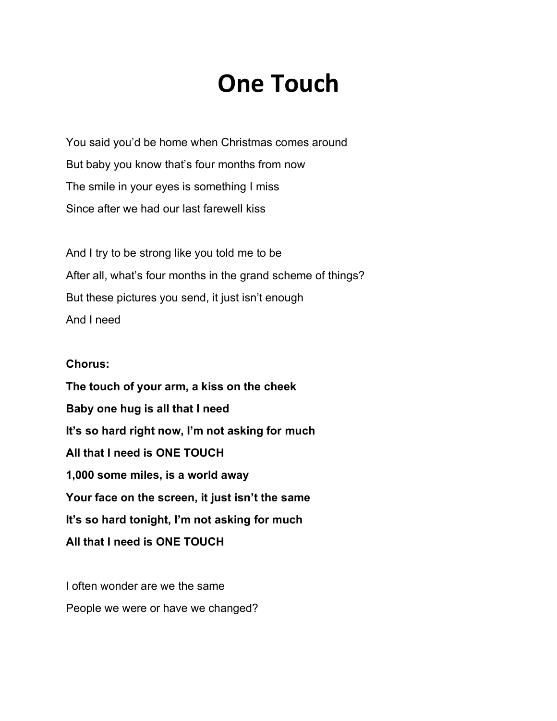## **One Touch**

You said you'd be home when Christmas comes around But baby you know that's four months from now The smile in your eyes is something I miss Since after we had our last farewell kiss

And I try to be strong like you told me to be After all, what's four months in the grand scheme of things? But these pictures you send, it just isn't enough And I need

## **Chorus:**

**The touch of your arm, a kiss on the cheek Baby one hug is all that I need It's so hard right now, I'm not asking for much All that I need is ONE TOUCH 1,000 some miles, is a world away Your face on the screen, it just isn't the same It's so hard tonight, I'm not asking for much All that I need is ONE TOUCH**

I often wonder are we the same People we were or have we changed?